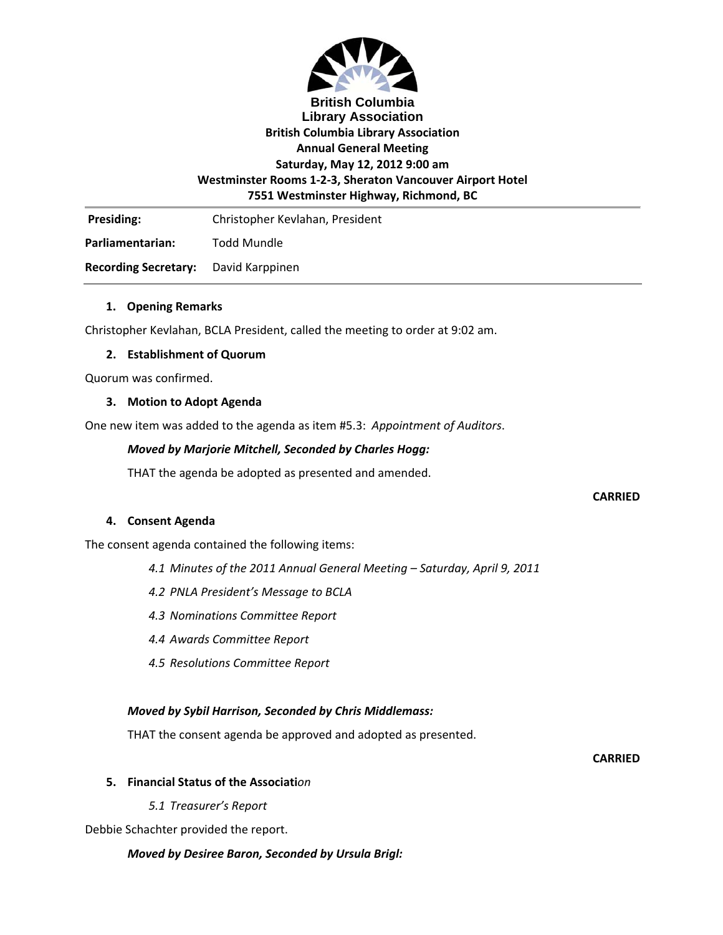

## **British Columbia Library Association British Columbia Library Association Annual General Meeting Saturday, May 12, 2012 9:00 am Westminster Rooms 1‐2‐3, Sheraton Vancouver Airport Hotel 7551 Westminster Highway, Richmond, BC**

Presiding: Christopher Kevlahan, President

**Parliamentarian:** Todd Mundle

**Recording Secretary:** David Karppinen

### **1. Opening Remarks**

Christopher Kevlahan, BCLA President, called the meeting to order at 9:02 am.

### **2. Establishment of Quorum**

Quorum was confirmed.

#### **3. Motion to Adopt Agenda**

One new item was added to the agenda as item #5.3: *Appointment of Auditors*.

### *Moved by Marjorie Mitchell, Seconded by Charles Hogg:*

THAT the agenda be adopted as presented and amended.

#### **CARRIED**

#### **4. Consent Agenda**

The consent agenda contained the following items:

- *4.1 Minutes of the 2011 Annual General Meeting – Saturday, April 9, 2011*
- *4.2 PNLA President's Message to BCLA*
- *4.3 Nominations Committee Report*
- *4.4 Awards Committee Report*
- *4.5 Resolutions Committee Report*

### *Moved by Sybil Harrison, Seconded by Chris Middlemass:*

THAT the consent agenda be approved and adopted as presented.

**CARRIED**

#### **5. Financial Status of the Associati***on*

*5.1 Treasurer's Report*

Debbie Schachter provided the report.

#### *Moved by Desiree Baron, Seconded by Ursula Brigl:*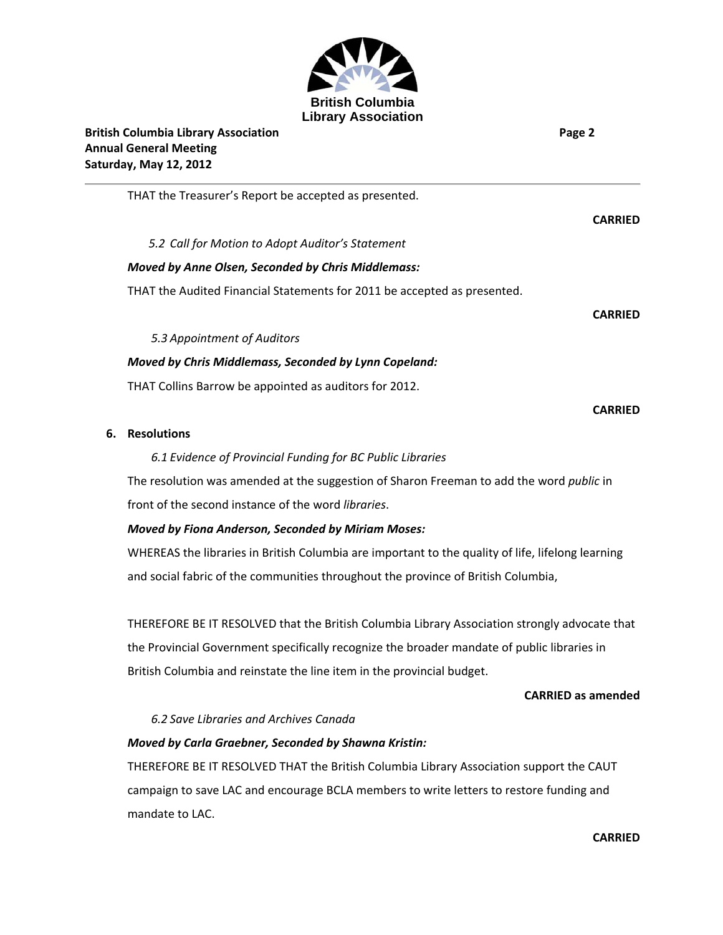

THAT the Treasurer's Report be accepted as presented.

**CARRIED**

**CARRIED**

*5.2 Call for Motion to Adopt Auditor's Statement*

# *Moved by Anne Olsen, Seconded by Chris Middlemass:*

THAT the Audited Financial Statements for 2011 be accepted as presented.

*5.3 Appointment of Auditors*

# *Moved by Chris Middlemass, Seconded by Lynn Copeland:*

THAT Collins Barrow be appointed as auditors for 2012.

**CARRIED**

# **6. Resolutions**

# *6.1 Evidence of Provincial Funding for BC Public Libraries*

The resolution was amended at the suggestion of Sharon Freeman to add the word *public* in front of the second instance of the word *libraries*.

# *Moved by Fiona Anderson, Seconded by Miriam Moses:*

WHEREAS the libraries in British Columbia are important to the quality of life, lifelong learning and social fabric of the communities throughout the province of British Columbia,

THEREFORE BE IT RESOLVED that the British Columbia Library Association strongly advocate that the Provincial Government specifically recognize the broader mandate of public libraries in British Columbia and reinstate the line item in the provincial budget.

# **CARRIED as amended**

# *6.2 Save Libraries and Archives Canada*

# *Moved by Carla Graebner, Seconded by Shawna Kristin:*

THEREFORE BE IT RESOLVED THAT the British Columbia Library Association support the CAUT campaign to save LAC and encourage BCLA members to write letters to restore funding and mandate to LAC.

**CARRIED**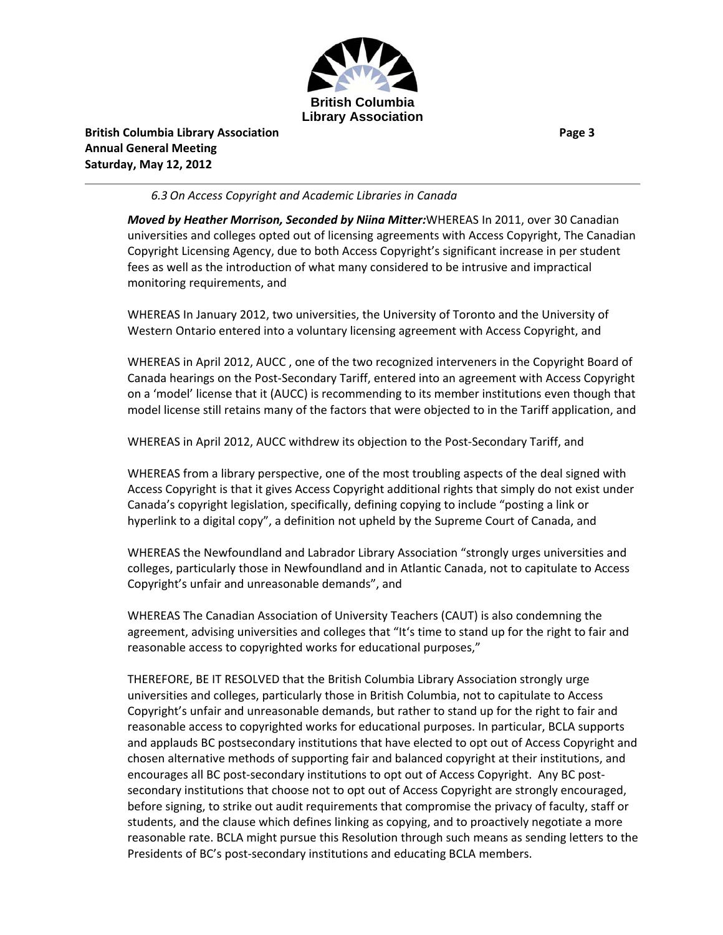

**British Columbia Library Association Page 3 Annual General Meeting Saturday, May 12, 2012**

### *6.3 On Access Copyright and Academic Libraries in Canada*

*Moved by Heather Morrison, Seconded by Niina Mitter:*WHEREAS In 2011, over 30 Canadian universities and colleges opted out of licensing agreements with Access Copyright, The Canadian Copyright Licensing Agency, due to both Access Copyright's significant increase in per student fees as well as the introduction of what many considered to be intrusive and impractical monitoring requirements, and

WHEREAS In January 2012, two universities, the University of Toronto and the University of Western Ontario entered into a voluntary licensing agreement with Access Copyright, and

WHEREAS in April 2012, AUCC , one of the two recognized interveners in the Copyright Board of Canada hearings on the Post‐Secondary Tariff, entered into an agreement with Access Copyright on a 'model' license that it (AUCC) is recommending to its member institutions even though that model license still retains many of the factors that were objected to in the Tariff application, and

WHEREAS in April 2012, AUCC withdrew its objection to the Post‐Secondary Tariff, and

WHEREAS from a library perspective, one of the most troubling aspects of the deal signed with Access Copyright is that it gives Access Copyright additional rights that simply do not exist under Canada's copyright legislation, specifically, defining copying to include "posting a link or hyperlink to a digital copy", a definition not upheld by the Supreme Court of Canada, and

WHEREAS the Newfoundland and Labrador Library Association "strongly urges universities and colleges, particularly those in Newfoundland and in Atlantic Canada, not to capitulate to Access Copyright's unfair and unreasonable demands", and

WHEREAS The Canadian Association of University Teachers (CAUT) is also condemning the agreement, advising universities and colleges that "It's time to stand up for the right to fair and reasonable access to copyrighted works for educational purposes,"

THEREFORE, BE IT RESOLVED that the British Columbia Library Association strongly urge universities and colleges, particularly those in British Columbia, not to capitulate to Access Copyright's unfair and unreasonable demands, but rather to stand up for the right to fair and reasonable access to copyrighted works for educational purposes. In particular, BCLA supports and applauds BC postsecondary institutions that have elected to opt out of Access Copyright and chosen alternative methods of supporting fair and balanced copyright at their institutions, and encourages all BC post‐secondary institutions to opt out of Access Copyright. Any BC post‐ secondary institutions that choose not to opt out of Access Copyright are strongly encouraged, before signing, to strike out audit requirements that compromise the privacy of faculty, staff or students, and the clause which defines linking as copying, and to proactively negotiate a more reasonable rate. BCLA might pursue this Resolution through such means as sending letters to the Presidents of BC's post‐secondary institutions and educating BCLA members.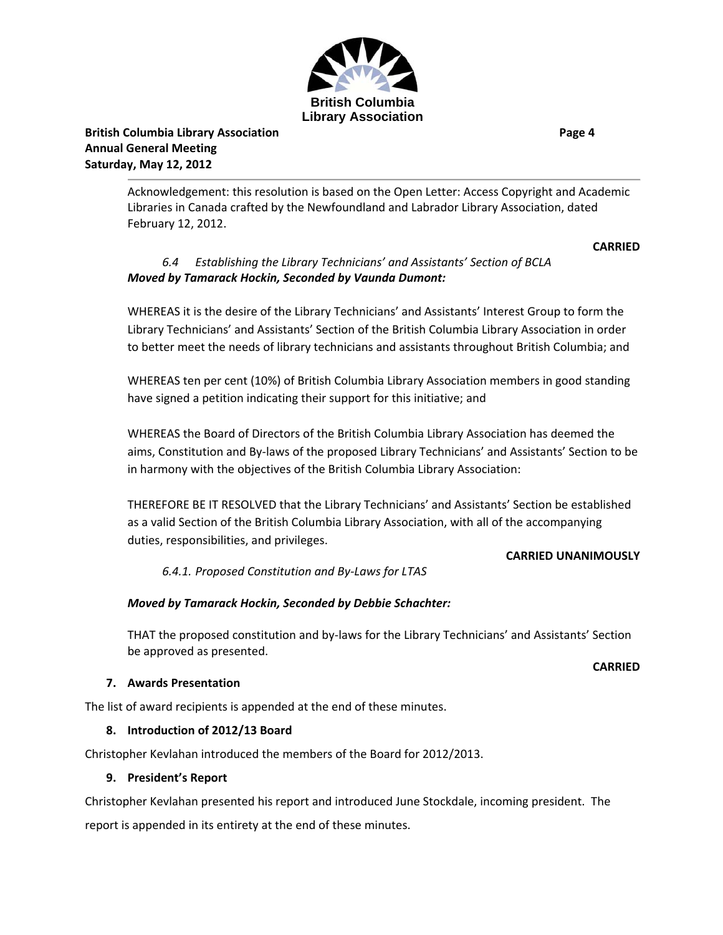

**British Columbia Library Association Page 4 Annual General Meeting Saturday, May 12, 2012**

Acknowledgement: this resolution is based on the Open Letter: Access Copyright and Academic Libraries in Canada crafted by the Newfoundland and Labrador Library Association, dated February 12, 2012.

### **CARRIED**

### *6.4 Establishing the Library Technicians' and Assistants' Section of BCLA Moved by Tamarack Hockin, Seconded by Vaunda Dumont:*

WHEREAS it is the desire of the Library Technicians' and Assistants' Interest Group to form the Library Technicians' and Assistants' Section of the British Columbia Library Association in order to better meet the needs of library technicians and assistants throughout British Columbia; and

WHEREAS ten per cent (10%) of British Columbia Library Association members in good standing have signed a petition indicating their support for this initiative; and

WHEREAS the Board of Directors of the British Columbia Library Association has deemed the aims, Constitution and By‐laws of the proposed Library Technicians' and Assistants' Section to be in harmony with the objectives of the British Columbia Library Association:

THEREFORE BE IT RESOLVED that the Library Technicians' and Assistants' Section be established as a valid Section of the British Columbia Library Association, with all of the accompanying duties, responsibilities, and privileges.

#### **CARRIED UNANIMOUSLY**

**CARRIED**

*6.4.1. Proposed Constitution and By‐Laws for LTAS*

### *Moved by Tamarack Hockin, Seconded by Debbie Schachter:*

THAT the proposed constitution and by‐laws for the Library Technicians' and Assistants' Section be approved as presented.

### **7. Awards Presentation**

The list of award recipients is appended at the end of these minutes.

### **8. Introduction of 2012/13 Board**

Christopher Kevlahan introduced the members of the Board for 2012/2013.

### **9. President's Report**

Christopher Kevlahan presented his report and introduced June Stockdale, incoming president. The report is appended in its entirety at the end of these minutes.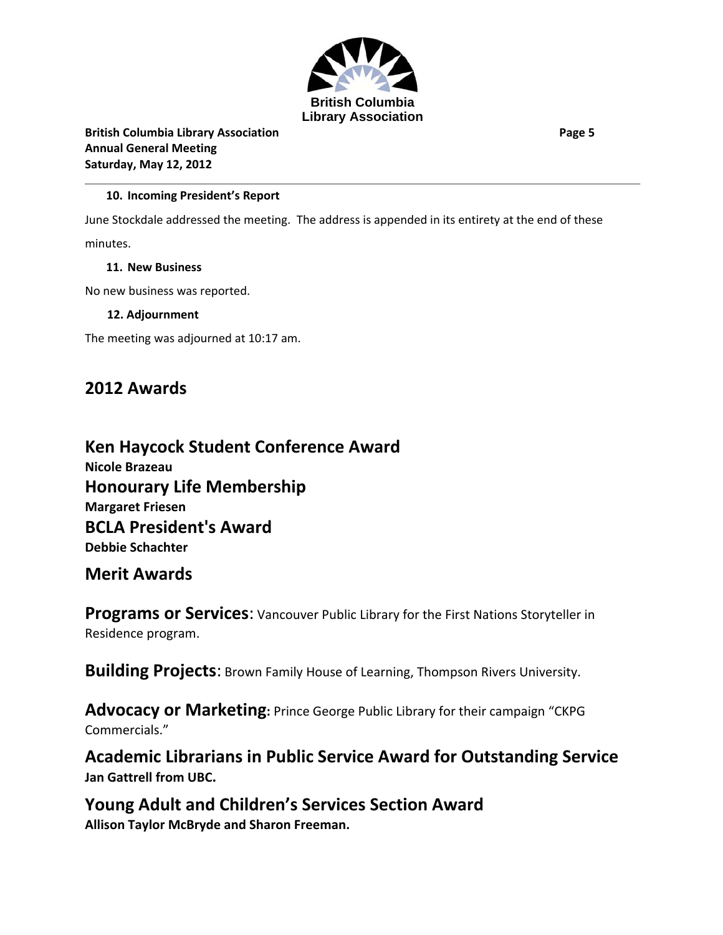

**British Columbia Library Association Page 5 Annual General Meeting Saturday, May 12, 2012**

## **10. Incoming President's Report**

June Stockdale addressed the meeting. The address is appended in its entirety at the end of these minutes.

### **11. New Business**

No new business was reported.

### **12. Adjournment**

The meeting was adjourned at 10:17 am.

# **2012 Awards**

# **Ken Haycock Student Conference Award Nicole Brazeau Honourary Life Membership Margaret Friesen BCLA President's Award**

**Debbie Schachter**

# **Merit Awards**

**Programs or Services**: Vancouver Public Library for the First Nations Storyteller in Residence program.

**Building Projects**: Brown Family House of Learning, Thompson Rivers University.

**Advocacy or Marketing:** Prince George Public Library for their campaign "CKPG Commercials."

**Academic Librarians in Public Service Award for Outstanding Service Jan Gattrell from UBC.**

**Young Adult and Children's Services Section Award Allison Taylor McBryde and Sharon Freeman.**